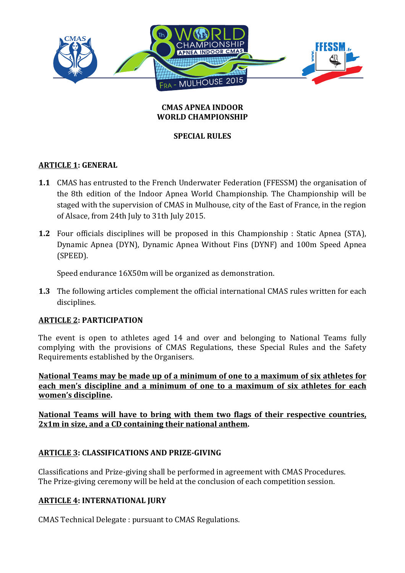

#### **CMAS APNEA INDOOR WORLD CHAMPIONSHIP**

## **SPECIAL RULES**

#### **ARTICLE 1: GENERAL**

- **1.1** CMAS has entrusted to the French Underwater Federation (FFESSM) the organisation of the 8th edition of the Indoor Apnea World Championship. The Championship will be staged with the supervision of CMAS in Mulhouse, city of the East of France, in the region of Alsace, from 24th July to 31th July 2015.
- **1.2** Four officials disciplines will be proposed in this Championship : Static Apnea (STA), Dynamic Apnea (DYN), Dynamic Apnea Without Fins (DYNF) and 100m Speed Apnea (SPEED).

Speed endurance 16X50m will be organized as demonstration.

**1.3** The following articles complement the official international CMAS rules written for each disciplines.

## **ARTICLE 2: PARTICIPATION**

The event is open to athletes aged 14 and over and belonging to National Teams fully complying with the provisions of CMAS Regulations, these Special Rules and the Safety Requirements established by the Organisers.

National Teams may be made up of a minimum of one to a maximum of six athletes for **each men's discipline and a minimum of one to a maximum of six athletes for each women's discipline.**

National Teams will have to bring with them two flags of their respective countries, **2x1m** in size, and a CD containing their national anthem.

## **ARTICLE 3: CLASSIFICATIONS AND PRIZE-GIVING**

Classifications and Prize-giving shall be performed in agreement with CMAS Procedures. The Prize-giving ceremony will be held at the conclusion of each competition session.

## **ARTICLE 4: INTERNATIONAL JURY**

CMAS Technical Delegate: pursuant to CMAS Regulations.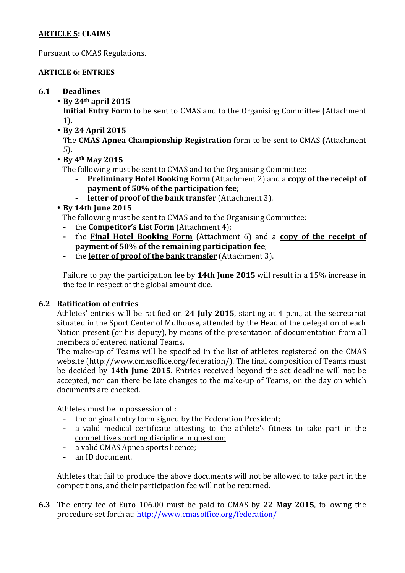## **ARTICLE 5: CLAIMS**

Pursuant to CMAS Regulations.

# **ARTICLE 6: ENTRIES**

## **6.1 Deadlines**

• **By 24th april 2015**

**Initial Entry Form** to be sent to CMAS and to the Organising Committee (Attachment) 1).

• **By 24 April 2015**

The **CMAS Apnea Championship Registration** form to be sent to CMAS (Attachment 5).

• **By 4th May 2015**

The following must be sent to CMAS and to the Organising Committee:

- **Preliminary Hotel Booking Form** (Attachment 2) and a copy of the receipt of **payment of 50% of the participation fee;**
- **letter of proof of the bank transfer** (Attachment 3).
- **By 14th June 2015**

The following must be sent to CMAS and to the Organising Committee:

- the **Competitor's List Form** (Attachment 4);
- the **Final Hotel Booking Form** (Attachment 6) and a **copy** of the receipt of **payment of 50% of the remaining participation fee:**
- the **letter of proof of the bank transfer** (Attachment 3).

Failure to pay the participation fee by 14th **June 2015** will result in a 15% increase in the fee in respect of the global amount due.

## **6.2 Ratification of entries**

Athletes' entries will be ratified on 24 July 2015, starting at 4 p.m., at the secretariat situated in the Sport Center of Mulhouse, attended by the Head of the delegation of each Nation present (or his deputy), by means of the presentation of documentation from all members of entered national Teams.

The make-up of Teams will be specified in the list of athletes registered on the CMAS website (http://www.cmasoffice.org/federation/). The final composition of Teams must be decided by 14th June 2015. Entries received beyond the set deadline will not be accepted, nor can there be late changes to the make-up of Teams, on the day on which documents are checked.

Athletes must be in possession of :

- the original entry form signed by the Federation President;
- a valid medical certificate attesting to the athlete's fitness to take part in the competitive sporting discipline in question;
- a valid CMAS Apnea sports licence;
- an ID document.

Athletes that fail to produce the above documents will not be allowed to take part in the competitions, and their participation fee will not be returned.

**6.3** The entry fee of Euro 106.00 must be paid to CMAS by 22 May 2015, following the procedure set forth at: http://www.cmasoffice.org/federation/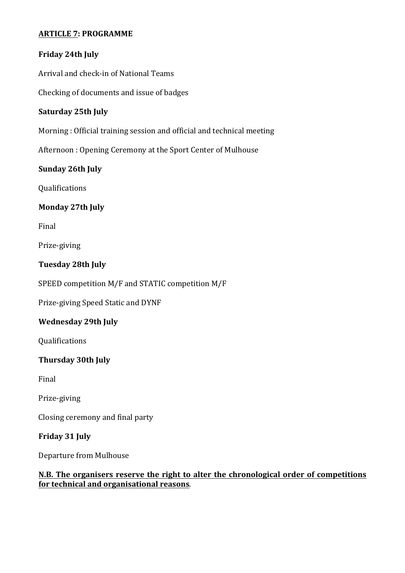#### **ARTICLE 7: PROGRAMME**

# **Friday 24th July**

Arrival and check-in of National Teams

Checking of documents and issue of badges

#### **Saturday 25th July**

Morning : Official training session and official and technical meeting

Afternoon : Opening Ceremony at the Sport Center of Mulhouse

## **Sunday 26th July**

Qualifications

## **Monday 27th July**

Final 

Prize-giving 

#### **Tuesday 28th July**

SPEED competition M/F and STATIC competition M/F

Prize-giving Speed Static and DYNF

## **Wednesday 29th July**

Qualifications 

## **Thursday 30th July**

Final 

Prize-giving

Closing ceremony and final party

## **Friday 31 July**

Departure from Mulhouse

#### **N.B.** The organisers reserve the right to alter the chronological order of competitions **for technical and organisational reasons.**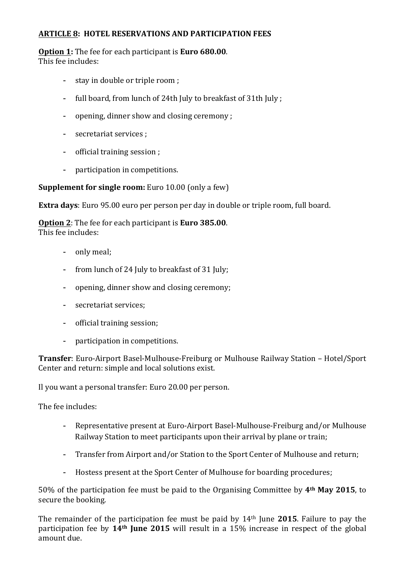#### **ARTICLE 8: HOTEL RESERVATIONS AND PARTICIPATION FEES**

**Option 1:** The fee for each participant is **Euro 680.00**. This fee includes:

- stay in double or triple room ;
- full board, from lunch of 24th July to breakfast of 31th July;
- opening, dinner show and closing ceremony ;
- secretariat services ;
- official training session ;
- participation in competitions.

**Supplement for single room:** Euro 10.00 (only a few)

**Extra days**: Euro 95.00 euro per person per day in double or triple room, full board.

**Option 2:** The fee for each participant is **Euro** 385.00. This fee includes:

- only meal:
- from lunch of 24 July to breakfast of 31 July;
- opening, dinner show and closing ceremony;
- secretariat services:
- official training session;
- participation in competitions.

**Transfer**: Euro-Airport Basel-Mulhouse-Freiburg or Mulhouse Railway Station – Hotel/Sport Center and return: simple and local solutions exist.

Il you want a personal transfer: Euro 20.00 per person.

The fee includes:

- Representative present at Euro-Airport Basel-Mulhouse-Freiburg and/or Mulhouse Railway Station to meet participants upon their arrival by plane or train;
- Transfer from Airport and/or Station to the Sport Center of Mulhouse and return;
- Hostess present at the Sport Center of Mulhouse for boarding procedures;

50% of the participation fee must be paid to the Organising Committee by 4<sup>th</sup> May 2015, to secure the booking.

The remainder of the participation fee must be paid by 14<sup>th</sup> June **2015**. Failure to pay the participation fee by 14<sup>th</sup> **June 2015** will result in a 15% increase in respect of the global amount due.